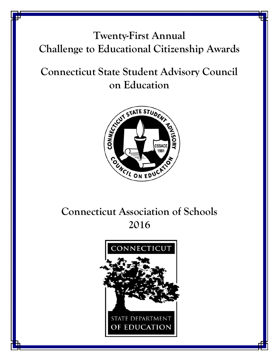# **Twenty-First Annual Challenge to Educational Citizenship Awards**

# **Connecticut State Student Advisory Council on Education**



# **Connecticut Association of Schools 2016**

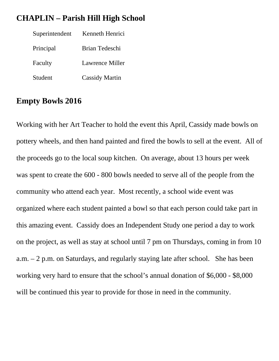#### **CHAPLIN – Parish Hill High School**

| Superintendent | Kenneth Henrici       |
|----------------|-----------------------|
| Principal      | Brian Tedeschi        |
| Faculty        | Lawrence Miller       |
| Student        | <b>Cassidy Martin</b> |

### **Empty Bowls 2016**

Working with her Art Teacher to hold the event this April, Cassidy made bowls on pottery wheels, and then hand painted and fired the bowls to sell at the event. All of the proceeds go to the local soup kitchen. On average, about 13 hours per week was spent to create the 600 - 800 bowls needed to serve all of the people from the community who attend each year. Most recently, a school wide event was organized where each student painted a bowl so that each person could take part in this amazing event. Cassidy does an Independent Study one period a day to work on the project, as well as stay at school until 7 pm on Thursdays, coming in from 10 a.m. – 2 p.m. on Saturdays, and regularly staying late after school. She has been working very hard to ensure that the school's annual donation of \$6,000 - \$8,000 will be continued this year to provide for those in need in the community.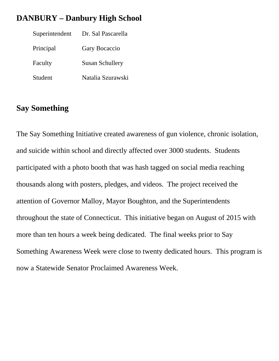### **DANBURY – Danbury High School**

| Superintendent | Dr. Sal Pascarella     |
|----------------|------------------------|
| Principal      | Gary Bocaccio          |
| Faculty        | <b>Susan Schullery</b> |
| Student        | Natalia Szurawski      |

### **Say Something**

The Say Something Initiative created awareness of gun violence, chronic isolation, and suicide within school and directly affected over 3000 students. Students participated with a photo booth that was hash tagged on social media reaching thousands along with posters, pledges, and videos. The project received the attention of Governor Malloy, Mayor Boughton, and the Superintendents throughout the state of Connecticut. This initiative began on August of 2015 with more than ten hours a week being dedicated. The final weeks prior to Say Something Awareness Week were close to twenty dedicated hours. This program is now a Statewide Senator Proclaimed Awareness Week.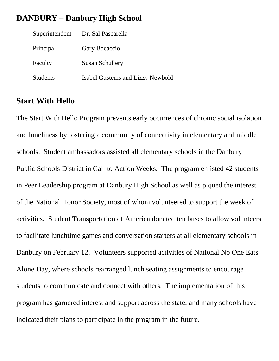#### **DANBURY – Danbury High School**

| Superintendent  | Dr. Sal Pascarella               |
|-----------------|----------------------------------|
| Principal       | Gary Bocaccio                    |
| Faculty         | <b>Susan Schullery</b>           |
| <b>Students</b> | Isabel Gustems and Lizzy Newbold |

#### **Start With Hello**

The Start With Hello Program prevents early occurrences of chronic social isolation and loneliness by fostering a community of connectivity in elementary and middle schools. Student ambassadors assisted all elementary schools in the Danbury Public Schools District in Call to Action Weeks. The program enlisted 42 students in Peer Leadership program at Danbury High School as well as piqued the interest of the National Honor Society, most of whom volunteered to support the week of activities. Student Transportation of America donated ten buses to allow volunteers to facilitate lunchtime games and conversation starters at all elementary schools in Danbury on February 12. Volunteers supported activities of National No One Eats Alone Day, where schools rearranged lunch seating assignments to encourage students to communicate and connect with others. The implementation of this program has garnered interest and support across the state, and many schools have indicated their plans to participate in the program in the future.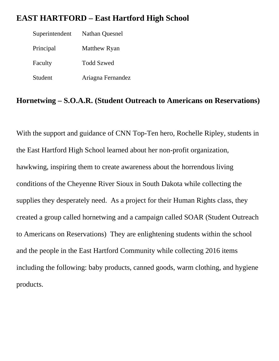### **EAST HARTFORD – East Hartford High School**

 Superintendent Nathan Quesnel Principal Matthew Ryan Faculty Todd Szwed Student Ariagna Fernandez

#### **Hornetwing – S.O.A.R. (Student Outreach to Americans on Reservations)**

With the support and guidance of CNN Top-Ten hero, Rochelle Ripley, students in the East Hartford High School learned about her non-profit organization, hawkwing, inspiring them to create awareness about the horrendous living conditions of the Cheyenne River Sioux in South Dakota while collecting the supplies they desperately need. As a project for their Human Rights class, they created a group called hornetwing and a campaign called SOAR (Student Outreach to Americans on Reservations) They are enlightening students within the school and the people in the East Hartford Community while collecting 2016 items including the following: baby products, canned goods, warm clothing, and hygiene products.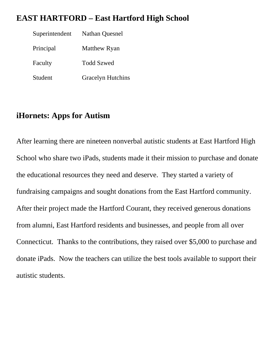#### **EAST HARTFORD – East Hartford High School**

 Superintendent Nathan Quesnel Principal Matthew Ryan Faculty Todd Szwed Student Gracelyn Hutchins

## **iHornets: Apps for Autism**

After learning there are nineteen nonverbal autistic students at East Hartford High School who share two iPads, students made it their mission to purchase and donate the educational resources they need and deserve. They started a variety of fundraising campaigns and sought donations from the East Hartford community. After their project made the Hartford Courant, they received generous donations from alumni, East Hartford residents and businesses, and people from all over Connecticut. Thanks to the contributions, they raised over \$5,000 to purchase and donate iPads. Now the teachers can utilize the best tools available to support their autistic students.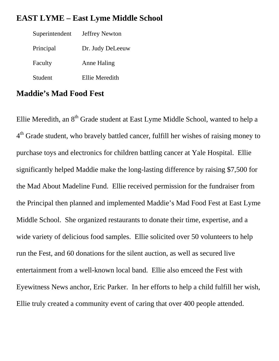#### **EAST LYME – East Lyme Middle School**

| Superintendent | <b>Jeffrey Newton</b> |
|----------------|-----------------------|
| Principal      | Dr. Judy DeLeeuw      |
| Faculty        | <b>Anne Haling</b>    |
| Student        | Ellie Meredith        |

### **Maddie's Mad Food Fest**

Ellie Meredith, an 8<sup>th</sup> Grade student at East Lyme Middle School, wanted to help a <sup>4th</sup> Grade student, who bravely battled cancer, fulfill her wishes of raising money to purchase toys and electronics for children battling cancer at Yale Hospital. Ellie significantly helped Maddie make the long-lasting difference by raising \$7,500 for the Mad About Madeline Fund. Ellie received permission for the fundraiser from the Principal then planned and implemented Maddie's Mad Food Fest at East Lyme Middle School. She organized restaurants to donate their time, expertise, and a wide variety of delicious food samples. Ellie solicited over 50 volunteers to help run the Fest, and 60 donations for the silent auction, as well as secured live entertainment from a well-known local band. Ellie also emceed the Fest with Eyewitness News anchor, Eric Parker. In her efforts to help a child fulfill her wish, Ellie truly created a community event of caring that over 400 people attended.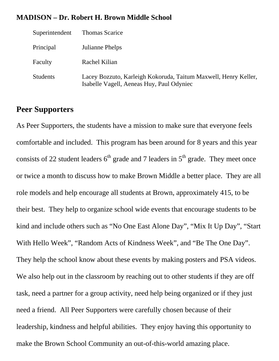#### **MADISON – Dr. Robert H. Brown Middle School**

| Superintendent  | <b>Thomas Scarice</b>                                                                                        |
|-----------------|--------------------------------------------------------------------------------------------------------------|
| Principal       | Julianne Phelps                                                                                              |
| Faculty         | Rachel Kilian                                                                                                |
| <b>Students</b> | Lacey Bozzuto, Karleigh Kokoruda, Taitum Maxwell, Henry Keller,<br>Isabelle Vagell, Aeneas Huy, Paul Odyniec |

## **Peer Supporters**

As Peer Supporters, the students have a mission to make sure that everyone feels comfortable and included. This program has been around for 8 years and this year consists of 22 student leaders  $6<sup>th</sup>$  grade and 7 leaders in  $5<sup>th</sup>$  grade. They meet once or twice a month to discuss how to make Brown Middle a better place. They are all role models and help encourage all students at Brown, approximately 415, to be their best. They help to organize school wide events that encourage students to be kind and include others such as "No One East Alone Day", "Mix It Up Day", "Start With Hello Week", "Random Acts of Kindness Week", and "Be The One Day". They help the school know about these events by making posters and PSA videos. We also help out in the classroom by reaching out to other students if they are off task, need a partner for a group activity, need help being organized or if they just need a friend. All Peer Supporters were carefully chosen because of their leadership, kindness and helpful abilities. They enjoy having this opportunity to make the Brown School Community an out-of-this-world amazing place.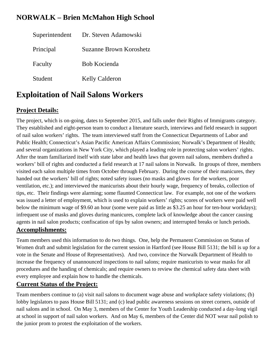#### **NORWALK – Brien McMahon High School**

|           | Superintendent Dr. Steven Adamowski |
|-----------|-------------------------------------|
| Principal | <b>Suzanne Brown Koroshetz</b>      |
| Faculty   | Bob Kocienda                        |
| Student   | <b>Kelly Calderon</b>               |

# **Exploitation of Nail Salons Workers**

#### **Project Details:**

The project, which is on-going, dates to September 2015, and falls under their Rights of Immigrants category. They established and eight-person team to conduct a literature search, interviews and field research in support of nail salon workers' rights. The team interviewed staff from the Connecticut Departments of Labor and Public Health; Connecticut's Asian Pacific American Affairs Commission; Norwalk's Department of Health; and several organizations in New York City, which played a leading role in protecting salon workers' rights. After the team familiarized itself with state labor and health laws that govern nail salons, members drafted a workers' bill of rights and conducted a field research at 17 nail salons in Norwalk. In groups of three, members visited each salon multiple times from October through February. During the course of their manicures, they handed out the workers' bill of rights; noted safety issues (no masks and gloves for the workers, poor ventilation, etc.); and interviewed the manicurists about their hourly wage, frequency of breaks, collection of tips, etc. Their findings were alarming; some flaunted Connecticut law. For example, not one of the workers was issued a letter of employment, which is used to explain workers' rights; scores of workers were paid well below the minimum wage of \$9.60 an hour (some were paid as little as \$3.25 an hour for ten-hour workdays); infrequent use of masks and gloves during manicures, complete lack of knowledge about the cancer causing agents in nail salon products; confiscation of tips by salon owners; and interrupted breaks or lunch periods. **Accomplishments:** 

Team members used this information to do two things. One, help the Permanent Commission on Status of Women draft and submit legislation for the current session in Hartford (see House Bill 5131; the bill is up for a vote in the Senate and House of Representatives). And two, convince the Norwalk Department of Health to increase the frequency of unannounced inspections to nail salons; require manicurists to wear masks for all procedures and the handing of chemicals; and require owners to review the chemical safety data sheet with every employee and explain how to handle the chemicals.

#### **Current Status of the Project:**

Team members continue to (a) visit nail salons to document wage abuse and workplace safety violations; (b) lobby legislators to pass House Bill 5131; and (c) lead public awareness sessions on street corners, outside of nail salons and in school. On May 3, members of the Center for Youth Leadership conducted a day-long vigil at school in support of nail salon workers. And on May 6, members of the Center did NOT wear nail polish to the junior prom to protest the exploitation of the workers.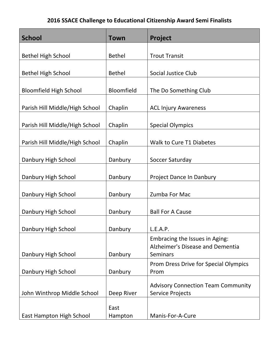| <b>School</b>                  | <b>Town</b>     | Project                                                                               |
|--------------------------------|-----------------|---------------------------------------------------------------------------------------|
|                                |                 |                                                                                       |
| <b>Bethel High School</b>      | <b>Bethel</b>   | <b>Trout Transit</b>                                                                  |
| <b>Bethel High School</b>      | <b>Bethel</b>   | Social Justice Club                                                                   |
| <b>Bloomfield High School</b>  | Bloomfield      | The Do Something Club                                                                 |
| Parish Hill Middle/High School | Chaplin         | <b>ACL Injury Awareness</b>                                                           |
| Parish Hill Middle/High School | Chaplin         | <b>Special Olympics</b>                                                               |
| Parish Hill Middle/High School | Chaplin         | <b>Walk to Cure T1 Diabetes</b>                                                       |
| Danbury High School            | Danbury         | Soccer Saturday                                                                       |
| Danbury High School            | Danbury         | Project Dance In Danbury                                                              |
| Danbury High School            | Danbury         | Zumba For Mac                                                                         |
| Danbury High School            | Danbury         | <b>Ball For A Cause</b>                                                               |
| Danbury High School            | Danbury         | L.E.A.P.                                                                              |
| Danbury High School            | Danbury         | Embracing the Issues in Aging:<br>Alzheimer's Disease and Dementia<br><b>Seminars</b> |
| Danbury High School            | Danbury         | Prom Dress Drive for Special Olympics<br>Prom                                         |
| John Winthrop Middle School    | Deep River      | <b>Advisory Connection Team Community</b><br><b>Service Projects</b>                  |
| East Hampton High School       | East<br>Hampton | Manis-For-A-Cure                                                                      |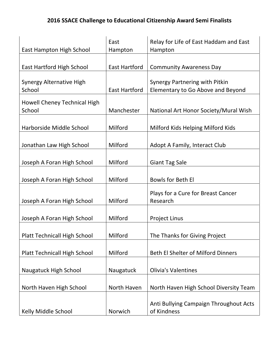| East Hampton High School                  | East<br>Hampton      | Relay for Life of East Haddam and East<br>Hampton                   |
|-------------------------------------------|----------------------|---------------------------------------------------------------------|
|                                           |                      |                                                                     |
| <b>East Hartford High School</b>          | <b>East Hartford</b> | <b>Community Awareness Day</b>                                      |
| <b>Synergy Alternative High</b><br>School | <b>East Hartford</b> | Synergy Partnering with Pitkin<br>Elementary to Go Above and Beyond |
| Howell Cheney Technical High<br>School    | Manchester           | National Art Honor Society/Mural Wish                               |
| Harborside Middle School                  | Milford              | Milford Kids Helping Milford Kids                                   |
| Jonathan Law High School                  | Milford              | Adopt A Family, Interact Club                                       |
| Joseph A Foran High School                | Milford              | <b>Giant Tag Sale</b>                                               |
| Joseph A Foran High School                | Milford              | Bowls for Beth El                                                   |
| Joseph A Foran High School                | Milford              | Plays for a Cure for Breast Cancer<br>Research                      |
| Joseph A Foran High School                | Milford              | <b>Project Linus</b>                                                |
| <b>Platt Technicall High School</b>       | Milford              | The Thanks for Giving Project                                       |
| <b>Platt Technicall High School</b>       | Milford              | <b>Beth El Shelter of Milford Dinners</b>                           |
| <b>Naugatuck High School</b>              | Naugatuck            | <b>Olivia's Valentines</b>                                          |
| North Haven High School                   | North Haven          | North Haven High School Diversity Team                              |
| Kelly Middle School                       | Norwich              | Anti Bullying Campaign Throughout Acts<br>of Kindness               |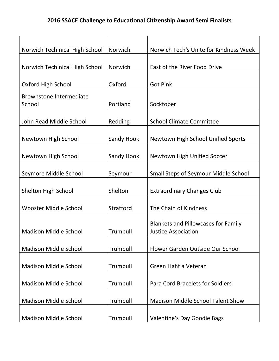| Norwich Techinical High School    | Norwich    | Norwich Tech's Unite for Kindness Week                                   |
|-----------------------------------|------------|--------------------------------------------------------------------------|
| Norwich Techinical High School    | Norwich    | East of the River Food Drive                                             |
| Oxford High School                | Oxford     | <b>Got Pink</b>                                                          |
| Brownstone Intermediate<br>School | Portland   | Socktober                                                                |
| John Read Middle School           | Redding    | <b>School Climate Committee</b>                                          |
| Newtown High School               | Sandy Hook | Newtown High School Unified Sports                                       |
| Newtown High School               | Sandy Hook | Newtown High Unified Soccer                                              |
| Seymore Middle School             | Seymour    | <b>Small Steps of Seymour Middle School</b>                              |
| <b>Shelton High School</b>        | Shelton    | <b>Extraordinary Changes Club</b>                                        |
| Wooster Middle School             | Stratford  | The Chain of Kindness                                                    |
| <b>Madison Middle School</b>      | Trumbull   | <b>Blankets and Pillowcases for Family</b><br><b>Justice Association</b> |
| <b>Madison Middle School</b>      | Trumbull   | Flower Garden Outside Our School                                         |
| <b>Madison Middle School</b>      | Trumbull   | Green Light a Veteran                                                    |
| <b>Madison Middle School</b>      | Trumbull   | <b>Para Cord Bracelets for Soldiers</b>                                  |
| <b>Madison Middle School</b>      | Trumbull   | <b>Madison Middle School Talent Show</b>                                 |
| <b>Madison Middle School</b>      | Trumbull   | Valentine's Day Goodie Bags                                              |